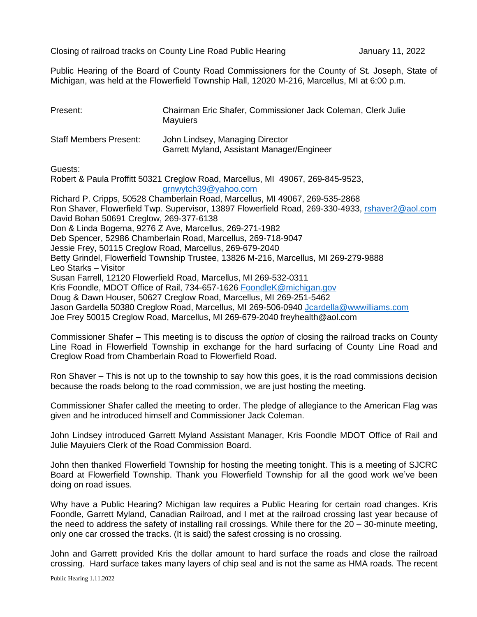Closing of railroad tracks on County Line Road Public Hearing January 11, 2022

Public Hearing of the Board of County Road Commissioners for the County of St. Joseph, State of Michigan, was held at the Flowerfield Township Hall, 12020 M-216, Marcellus, MI at 6:00 p.m.

| Present:                      | Chairman Eric Shafer, Commissioner Jack Coleman, Clerk Julie<br><b>Mayuiers</b> |
|-------------------------------|---------------------------------------------------------------------------------|
| <b>Staff Members Present:</b> | John Lindsey, Managing Director<br>Garrett Myland, Assistant Manager/Engineer   |

Guests:

Robert & Paula Proffitt 50321 Creglow Road, Marcellus, MI 49067, 269-845-9523, [grnwytch39@yahoo.com](mailto:grnwytch39@yahoo.com)

Richard P. Cripps, 50528 Chamberlain Road, Marcellus, MI 49067, 269-535-2868 Ron Shaver, Flowerfield Twp. Supervisor, 13897 Flowerfield Road, 269-330-4933, [rshaver2@aol.com](mailto:rshaver2@aol.com) David Bohan 50691 Creglow, 269-377-6138 Don & Linda Bogema, 9276 Z Ave, Marcellus, 269-271-1982 Deb Spencer, 52986 Chamberlain Road, Marcellus, 269-718-9047 Jessie Frey, 50115 Creglow Road, Marcellus, 269-679-2040 Betty Grindel, Flowerfield Township Trustee, 13826 M-216, Marcellus, MI 269-279-9888 Leo Starks – Visitor Susan Farrell, 12120 Flowerfield Road, Marcellus, MI 269-532-0311 Kris Foondle, MDOT Office of Rail, 734-657-1626 [FoondleK@michigan.gov](mailto:FoondleK@michigan.gov) Doug & Dawn Houser, 50627 Creglow Road, Marcellus, MI 269-251-5462 Jason Gardella 50380 Creglow Road, Marcellus, MI 269-506-0940 [Jcardella@wwwilliams.com](mailto:Jcardella@wwwilliams.com) Joe Frey 50015 Creglow Road, Marcellus, MI 269-679-2040 freyhealth@aol.com

Commissioner Shafer – This meeting is to discuss the *option* of closing the railroad tracks on County Line Road in Flowerfield Township in exchange for the hard surfacing of County Line Road and Creglow Road from Chamberlain Road to Flowerfield Road.

Ron Shaver – This is not up to the township to say how this goes, it is the road commissions decision because the roads belong to the road commission, we are just hosting the meeting.

Commissioner Shafer called the meeting to order. The pledge of allegiance to the American Flag was given and he introduced himself and Commissioner Jack Coleman.

John Lindsey introduced Garrett Myland Assistant Manager, Kris Foondle MDOT Office of Rail and Julie Mayuiers Clerk of the Road Commission Board.

John then thanked Flowerfield Township for hosting the meeting tonight. This is a meeting of SJCRC Board at Flowerfield Township. Thank you Flowerfield Township for all the good work we've been doing on road issues.

Why have a Public Hearing? Michigan law requires a Public Hearing for certain road changes. Kris Foondle, Garrett Myland, Canadian Railroad, and I met at the railroad crossing last year because of the need to address the safety of installing rail crossings. While there for the 20 – 30-minute meeting, only one car crossed the tracks. (It is said) the safest crossing is no crossing.

John and Garrett provided Kris the dollar amount to hard surface the roads and close the railroad crossing. Hard surface takes many layers of chip seal and is not the same as HMA roads. The recent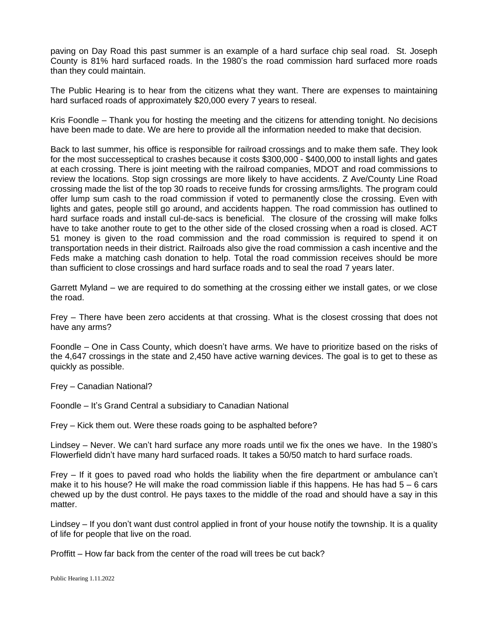paving on Day Road this past summer is an example of a hard surface chip seal road. St. Joseph County is 81% hard surfaced roads. In the 1980's the road commission hard surfaced more roads than they could maintain.

The Public Hearing is to hear from the citizens what they want. There are expenses to maintaining hard surfaced roads of approximately \$20,000 every 7 years to reseal.

Kris Foondle – Thank you for hosting the meeting and the citizens for attending tonight. No decisions have been made to date. We are here to provide all the information needed to make that decision.

Back to last summer, his office is responsible for railroad crossings and to make them safe. They look for the most successeptical to crashes because it costs \$300,000 - \$400,000 to install lights and gates at each crossing. There is joint meeting with the railroad companies, MDOT and road commissions to review the locations. Stop sign crossings are more likely to have accidents. Z Ave/County Line Road crossing made the list of the top 30 roads to receive funds for crossing arms/lights. The program could offer lump sum cash to the road commission if voted to permanently close the crossing. Even with lights and gates, people still go around, and accidents happen. The road commission has outlined to hard surface roads and install cul-de-sacs is beneficial. The closure of the crossing will make folks have to take another route to get to the other side of the closed crossing when a road is closed. ACT 51 money is given to the road commission and the road commission is required to spend it on transportation needs in their district. Railroads also give the road commission a cash incentive and the Feds make a matching cash donation to help. Total the road commission receives should be more than sufficient to close crossings and hard surface roads and to seal the road 7 years later.

Garrett Myland – we are required to do something at the crossing either we install gates, or we close the road.

Frey – There have been zero accidents at that crossing. What is the closest crossing that does not have any arms?

Foondle – One in Cass County, which doesn't have arms. We have to prioritize based on the risks of the 4,647 crossings in the state and 2,450 have active warning devices. The goal is to get to these as quickly as possible.

Frey – Canadian National?

Foondle – It's Grand Central a subsidiary to Canadian National

Frey – Kick them out. Were these roads going to be asphalted before?

Lindsey – Never. We can't hard surface any more roads until we fix the ones we have. In the 1980's Flowerfield didn't have many hard surfaced roads. It takes a 50/50 match to hard surface roads.

Frey – If it goes to paved road who holds the liability when the fire department or ambulance can't make it to his house? He will make the road commission liable if this happens. He has had  $5 - 6$  cars chewed up by the dust control. He pays taxes to the middle of the road and should have a say in this matter.

Lindsey – If you don't want dust control applied in front of your house notify the township. It is a quality of life for people that live on the road.

Proffitt – How far back from the center of the road will trees be cut back?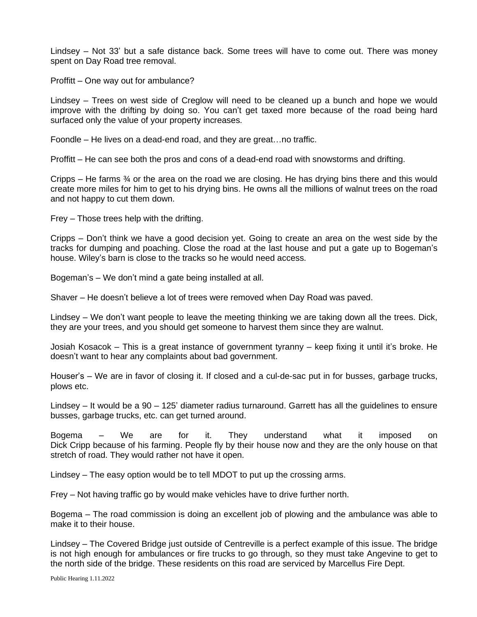Lindsey – Not 33' but a safe distance back. Some trees will have to come out. There was money spent on Day Road tree removal.

Proffitt – One way out for ambulance?

Lindsey – Trees on west side of Creglow will need to be cleaned up a bunch and hope we would improve with the drifting by doing so. You can't get taxed more because of the road being hard surfaced only the value of your property increases.

Foondle – He lives on a dead-end road, and they are great…no traffic.

Proffitt – He can see both the pros and cons of a dead-end road with snowstorms and drifting.

Cripps – He farms ¾ or the area on the road we are closing. He has drying bins there and this would create more miles for him to get to his drying bins. He owns all the millions of walnut trees on the road and not happy to cut them down.

Frey – Those trees help with the drifting.

Cripps – Don't think we have a good decision yet. Going to create an area on the west side by the tracks for dumping and poaching. Close the road at the last house and put a gate up to Bogeman's house. Wiley's barn is close to the tracks so he would need access.

Bogeman's – We don't mind a gate being installed at all.

Shaver – He doesn't believe a lot of trees were removed when Day Road was paved.

Lindsey – We don't want people to leave the meeting thinking we are taking down all the trees. Dick, they are your trees, and you should get someone to harvest them since they are walnut.

Josiah Kosacok – This is a great instance of government tyranny – keep fixing it until it's broke. He doesn't want to hear any complaints about bad government.

Houser's – We are in favor of closing it. If closed and a cul-de-sac put in for busses, garbage trucks, plows etc.

Lindsey – It would be a 90 – 125' diameter radius turnaround. Garrett has all the guidelines to ensure busses, garbage trucks, etc. can get turned around.

Bogema – We are for it. They understand what it imposed on Dick Cripp because of his farming. People fly by their house now and they are the only house on that stretch of road. They would rather not have it open.

Lindsey – The easy option would be to tell MDOT to put up the crossing arms.

Frey – Not having traffic go by would make vehicles have to drive further north.

Bogema – The road commission is doing an excellent job of plowing and the ambulance was able to make it to their house.

Lindsey – The Covered Bridge just outside of Centreville is a perfect example of this issue. The bridge is not high enough for ambulances or fire trucks to go through, so they must take Angevine to get to the north side of the bridge. These residents on this road are serviced by Marcellus Fire Dept.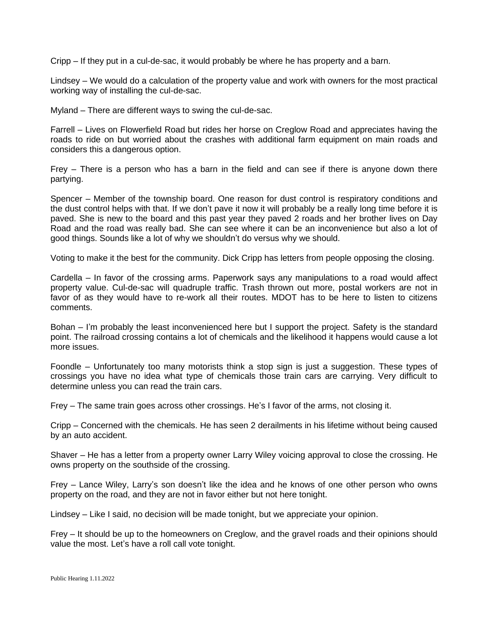Cripp – If they put in a cul-de-sac, it would probably be where he has property and a barn.

Lindsey – We would do a calculation of the property value and work with owners for the most practical working way of installing the cul-de-sac.

Myland – There are different ways to swing the cul-de-sac.

Farrell – Lives on Flowerfield Road but rides her horse on Creglow Road and appreciates having the roads to ride on but worried about the crashes with additional farm equipment on main roads and considers this a dangerous option.

Frey – There is a person who has a barn in the field and can see if there is anyone down there partying.

Spencer – Member of the township board. One reason for dust control is respiratory conditions and the dust control helps with that. If we don't pave it now it will probably be a really long time before it is paved. She is new to the board and this past year they paved 2 roads and her brother lives on Day Road and the road was really bad. She can see where it can be an inconvenience but also a lot of good things. Sounds like a lot of why we shouldn't do versus why we should.

Voting to make it the best for the community. Dick Cripp has letters from people opposing the closing.

Cardella – In favor of the crossing arms. Paperwork says any manipulations to a road would affect property value. Cul-de-sac will quadruple traffic. Trash thrown out more, postal workers are not in favor of as they would have to re-work all their routes. MDOT has to be here to listen to citizens comments.

Bohan – I'm probably the least inconvenienced here but I support the project. Safety is the standard point. The railroad crossing contains a lot of chemicals and the likelihood it happens would cause a lot more issues.

Foondle – Unfortunately too many motorists think a stop sign is just a suggestion. These types of crossings you have no idea what type of chemicals those train cars are carrying. Very difficult to determine unless you can read the train cars.

Frey – The same train goes across other crossings. He's I favor of the arms, not closing it.

Cripp – Concerned with the chemicals. He has seen 2 derailments in his lifetime without being caused by an auto accident.

Shaver – He has a letter from a property owner Larry Wiley voicing approval to close the crossing. He owns property on the southside of the crossing.

Frey – Lance Wiley, Larry's son doesn't like the idea and he knows of one other person who owns property on the road, and they are not in favor either but not here tonight.

Lindsey – Like I said, no decision will be made tonight, but we appreciate your opinion.

Frey – It should be up to the homeowners on Creglow, and the gravel roads and their opinions should value the most. Let's have a roll call vote tonight.